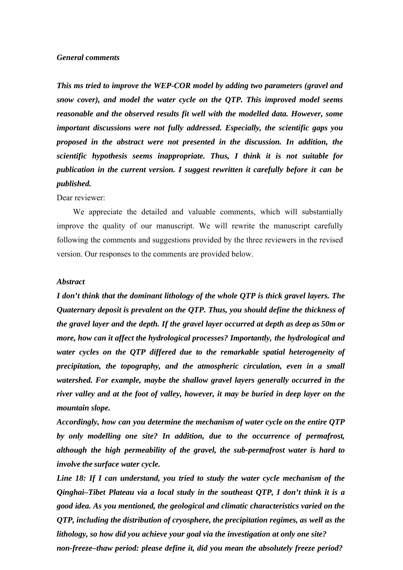### *General comments*

*This ms tried to improve the WEP-COR model by adding two parameters (gravel and snow cover), and model the water cycle on the QTP. This improved model seems reasonable and the observed results fit well with the modelled data. However, some important discussions were not fully addressed. Especially, the scientific gaps you proposed in the abstract were not presented in the discussion. In addition, the scientific hypothesis seems inappropriate. Thus, I think it is not suitable for publication in the current version. I suggest rewritten it carefully before it can be published.*

#### Dear reviewer:

We appreciate the detailed and valuable comments, which will substantially improve the quality of our manuscript. We will rewrite the manuscript carefully following the comments and suggestions provided by the three reviewers in the revised version. Our responses to the comments are provided below.

#### *Abstract*

*I don't think that the dominant lithology of the whole QTP is thick gravel layers. The Quaternary deposit is prevalent on the QTP. Thus, you should define the thickness of the gravel layer and the depth. If the gravel layer occurred at depth as deep as 50m or more, how can it affect the hydrological processes? Importantly, the hydrological and water cycles on the QTP differed due to the remarkable spatial heterogeneity of precipitation, the topography, and the atmospheric circulation, even in a small watershed. For example, maybe the shallow gravel layers generally occurred in the river valley and at the foot of valley, however, it may be buried in deep layer on the mountain slope.*

*Accordingly, how can you determine the mechanism of water cycle on the entire QTP by only modelling one site? In addition, due to the occurrence of permafrost, although the high permeability of the gravel, the sub-permafrost water is hard to involve the surface water cycle.*

*Line 18: If I can understand, you tried to study the water cycle mechanism of the Qinghai–Tibet Plateau via a local study in the southeast QTP, I don't think it is a good idea. As you mentioned, the geological and climatic characteristics varied on the QTP, including the distribution of cryosphere, the precipitation regimes, as well as the lithology, so how did you achieve your goal via the investigation at only one site? non-freeze–thaw period: please define it, did you mean the absolutely freeze period?*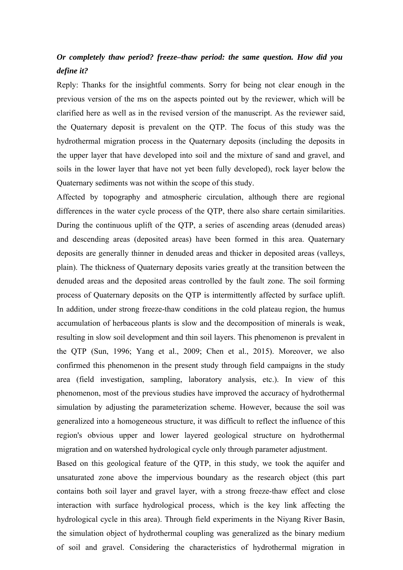## *Or completely thaw period? freeze–thaw period: the same question. How did you define it?*

Reply: Thanks for the insightful comments. Sorry for being not clear enough in the previous version of the ms on the aspects pointed out by the reviewer, which will be clarified here as well as in the revised version of the manuscript. As the reviewer said, the Quaternary deposit is prevalent on the QTP. The focus of this study was the hydrothermal migration process in the Quaternary deposits (including the deposits in the upper layer that have developed into soil and the mixture of sand and gravel, and soils in the lower layer that have not yet been fully developed), rock layer below the Quaternary sediments was not within the scope of this study.

Affected by topography and atmospheric circulation, although there are regional differences in the water cycle process of the QTP, there also share certain similarities. During the continuous uplift of the QTP, a series of ascending areas (denuded areas) and descending areas (deposited areas) have been formed in this area. Quaternary deposits are generally thinner in denuded areas and thicker in deposited areas (valleys, plain). The thickness of Quaternary deposits varies greatly at the transition between the denuded areas and the deposited areas controlled by the fault zone. The soil forming process of Quaternary deposits on the QTP is intermittently affected by surface uplift. In addition, under strong freeze-thaw conditions in the cold plateau region, the humus accumulation of herbaceous plants is slow and the decomposition of minerals is weak, resulting in slow soil development and thin soil layers. This phenomenon is prevalent in the QTP (Sun, 1996; Yang et al., 2009; Chen et al., 2015). Moreover, we also confirmed this phenomenon in the present study through field campaigns in the study area (field investigation, sampling, laboratory analysis, etc.). In view of this phenomenon, most of the previous studies have improved the accuracy of hydrothermal simulation by adjusting the parameterization scheme. However, because the soil was generalized into a homogeneous structure, it was difficult to reflect the influence of this region's obvious upper and lower layered geological structure on hydrothermal migration and on watershed hydrological cycle only through parameter adjustment.

Based on this geological feature of the QTP, in this study, we took the aquifer and unsaturated zone above the impervious boundary as the research object (this part contains both soil layer and gravel layer, with a strong freeze-thaw effect and close interaction with surface hydrological process, which is the key link affecting the hydrological cycle in this area). Through field experiments in the Niyang River Basin, the simulation object of hydrothermal coupling was generalized as the binary medium of soil and gravel. Considering the characteristics of hydrothermal migration in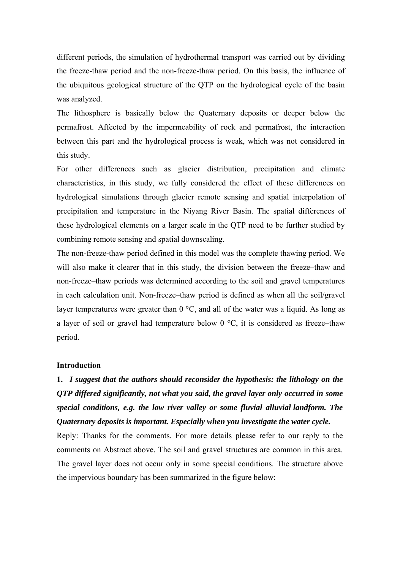different periods, the simulation of hydrothermal transport was carried out by dividing the freeze-thaw period and the non-freeze-thaw period. On this basis, the influence of the ubiquitous geological structure of the QTP on the hydrological cycle of the basin was analyzed.

The lithosphere is basically below the Quaternary deposits or deeper below the permafrost. Affected by the impermeability of rock and permafrost, the interaction between this part and the hydrological process is weak, which was not considered in this study.

For other differences such as glacier distribution, precipitation and climate characteristics, in this study, we fully considered the effect of these differences on hydrological simulations through glacier remote sensing and spatial interpolation of precipitation and temperature in the Niyang River Basin. The spatial differences of these hydrological elements on a larger scale in the QTP need to be further studied by combining remote sensing and spatial downscaling.

The non-freeze-thaw period defined in this model was the complete thawing period. We will also make it clearer that in this study, the division between the freeze–thaw and non-freeze–thaw periods was determined according to the soil and gravel temperatures in each calculation unit. Non-freeze–thaw period is defined as when all the soil/gravel layer temperatures were greater than  $0^{\circ}$ C, and all of the water was a liquid. As long as a layer of soil or gravel had temperature below  $0^{\circ}$ C, it is considered as freeze–thaw period.

### **Introduction**

**1.** *I suggest that the authors should reconsider the hypothesis: the lithology on the QTP differed significantly, not what you said, the gravel layer only occurred in some special conditions, e.g. the low river valley or some fluvial alluvial landform. The Quaternary deposits is important. Especially when you investigate the water cycle.*

Reply: Thanks for the comments. For more details please refer to our reply to the comments on Abstract above. The soil and gravel structures are common in this area. The gravel layer does not occur only in some special conditions. The structure above the impervious boundary has been summarized in the figure below: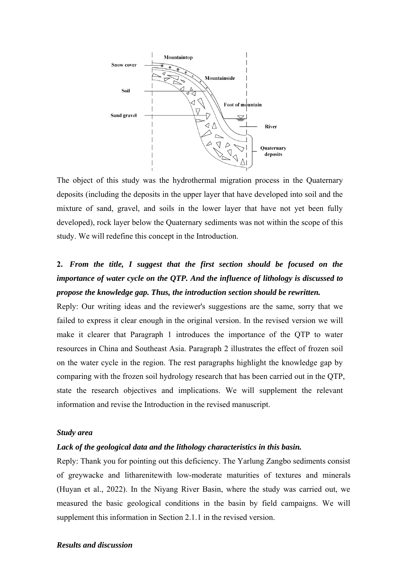

The object of this study was the hydrothermal migration process in the Quaternary deposits (including the deposits in the upper layer that have developed into soil and the mixture of sand, gravel, and soils in the lower layer that have not yet been fully developed), rock layer below the Quaternary sediments was not within the scope of this study. We will redefine this concept in the Introduction.

# **2.** *From the title, I suggest that the first section should be focused on the importance of water cycle on the QTP. And the influence of lithology is discussed to propose the knowledge gap. Thus, the introduction section should be rewritten.*

Reply: Our writing ideas and the reviewer's suggestions are the same, sorry that we failed to express it clear enough in the original version. In the revised version we will make it clearer that Paragraph 1 introduces the importance of the QTP to water resources in China and Southeast Asia. Paragraph 2 illustrates the effect of frozen soil on the water cycle in the region. The rest paragraphs highlight the knowledge gap by comparing with the frozen soil hydrology research that has been carried out in the QTP, state the research objectives and implications. We will supplement the relevant information and revise the Introduction in the revised manuscript.

### *Study area*

### *Lack of the geological data and the lithology characteristics in this basin.*

Reply: Thank you for pointing out this deficiency. The Yarlung Zangbo sediments consist of greywacke and litharenitewith low-moderate maturities of textures and minerals (Huyan et al., 2022). In the Niyang River Basin, where the study was carried out, we measured the basic geological conditions in the basin by field campaigns. We will supplement this information in Section 2.1.1 in the revised version.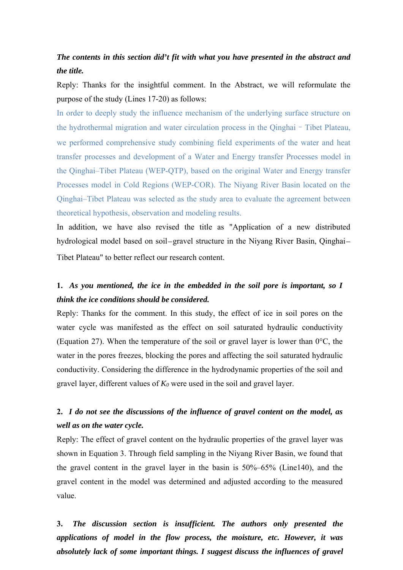## *The contents in this section did't fit with what you have presented in the abstract and the title.*

Reply: Thanks for the insightful comment. In the Abstract, we will reformulate the purpose of the study (Lines 17-20) as follows:

In order to deeply study the influence mechanism of the underlying surface structure on the hydrothermal migration and water circulation process in the Qinghai–Tibet Plateau, we performed comprehensive study combining field experiments of the water and heat transfer processes and development of a Water and Energy transfer Processes model in the Qinghai–Tibet Plateau (WEP-QTP), based on the original Water and Energy transfer Processes model in Cold Regions (WEP-COR). The Niyang River Basin located on the Qinghai–Tibet Plateau was selected as the study area to evaluate the agreement between theoretical hypothesis, observation and modeling results.

In addition, we have also revised the title as "Application of a new distributed hydrological model based on soil–gravel structure in the Niyang River Basin, Qinghai– Tibet Plateau" to better reflect our research content.

## **1.** *As you mentioned, the ice in the embedded in the soil pore is important, so I think the ice conditions should be considered.*

Reply: Thanks for the comment. In this study, the effect of ice in soil pores on the water cycle was manifested as the effect on soil saturated hydraulic conductivity (Equation 27). When the temperature of the soil or gravel layer is lower than 0°C, the water in the pores freezes, blocking the pores and affecting the soil saturated hydraulic conductivity. Considering the difference in the hydrodynamic properties of the soil and gravel layer, different values of  $K_0$  were used in the soil and gravel layer.

## **2.** *I do not see the discussions of the influence of gravel content on the model, as well as on the water cycle.*

Reply: The effect of gravel content on the hydraulic properties of the gravel layer was shown in Equation 3. Through field sampling in the Niyang River Basin, we found that the gravel content in the gravel layer in the basin is 50%–65% (Line140), and the gravel content in the model was determined and adjusted according to the measured value.

**3.** *The discussion section is insufficient. The authors only presented the applications of model in the flow process, the moisture, etc. However, it was absolutely lack of some important things. I suggest discuss the influences of gravel*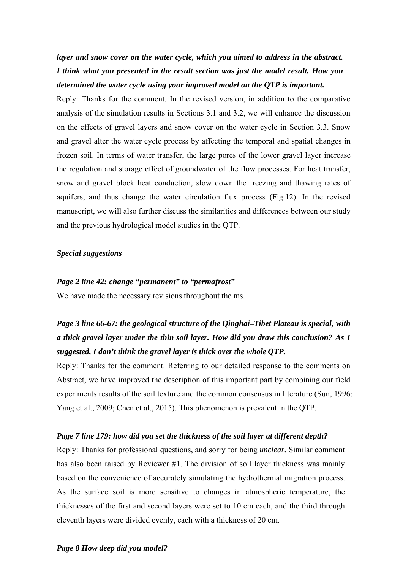*layer and snow cover on the water cycle, which you aimed to address in the abstract. I think what you presented in the result section was just the model result. How you determined the water cycle using your improved model on the QTP is important.*

Reply: Thanks for the comment. In the revised version, in addition to the comparative analysis of the simulation results in Sections 3.1 and 3.2, we will enhance the discussion on the effects of gravel layers and snow cover on the water cycle in Section 3.3. Snow and gravel alter the water cycle process by affecting the temporal and spatial changes in frozen soil. In terms of water transfer, the large pores of the lower gravel layer increase the regulation and storage effect of groundwater of the flow processes. For heat transfer, snow and gravel block heat conduction, slow down the freezing and thawing rates of aquifers, and thus change the water circulation flux process (Fig.12). In the revised manuscript, we will also further discuss the similarities and differences between our study and the previous hydrological model studies in the QTP.

### *Special suggestions*

#### *Page 2 line 42: change "permanent" to "permafrost"*

We have made the necessary revisions throughout the ms.

# *Page 3 line 66-67: the geological structure of the Qinghai–Tibet Plateau is special, with a thick gravel layer under the thin soil layer. How did you draw this conclusion? As I suggested, I don't think the gravel layer is thick over the whole QTP.*

Reply: Thanks for the comment. Referring to our detailed response to the comments on Abstract, we have improved the description of this important part by combining our field experiments results of the soil texture and the common consensus in literature (Sun, 1996; Yang et al., 2009; Chen et al., 2015). This phenomenon is prevalent in the QTP.

### *Page 7 line 179: how did you set the thickness of the soil layer at different depth?*

Reply: Thanks for professional questions, and sorry for being *unclear.* Similar comment has also been raised by Reviewer #1. The division of soil layer thickness was mainly based on the convenience of accurately simulating the hydrothermal migration process. As the surface soil is more sensitive to changes in atmospheric temperature, the thicknesses of the first and second layers were set to 10 cm each, and the third through eleventh layers were divided evenly, each with a thickness of 20 cm.

### *Page 8 How deep did you model?*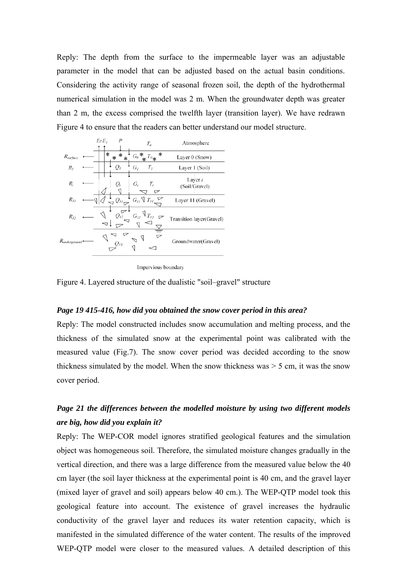Reply: The depth from the surface to the impermeable layer was an adjustable parameter in the model that can be adjusted based on the actual basin conditions. Considering the activity range of seasonal frozen soil, the depth of the hydrothermal numerical simulation in the model was 2 m. When the groundwater depth was greater than 2 m, the excess comprised the twelfth layer (transition layer). We have redrawn Figure 4 to ensure that the readers can better understand our model structure.



Impervious boundary

Figure 4. Layered structure of the dualistic "soil–gravel" structure

#### *Page 19 415-416, how did you obtained the snow cover period in this area?*

Reply: The model constructed includes snow accumulation and melting process, and the thickness of the simulated snow at the experimental point was calibrated with the measured value (Fig.7). The snow cover period was decided according to the snow thickness simulated by the model. When the snow thickness was  $>$  5 cm, it was the snow cover period.

### *Page 21 the differences between the modelled moisture by using two different models are big, how did you explain it?*

Reply: The WEP-COR model ignores stratified geological features and the simulation object was homogeneous soil. Therefore, the simulated moisture changes gradually in the vertical direction, and there was a large difference from the measured value below the 40 cm layer (the soil layer thickness at the experimental point is 40 cm, and the gravel layer (mixed layer of gravel and soil) appears below 40 cm.). The WEP-QTP model took this geological feature into account. The existence of gravel increases the hydraulic conductivity of the gravel layer and reduces its water retention capacity, which is manifested in the simulated difference of the water content. The results of the improved WEP-QTP model were closer to the measured values. A detailed description of this